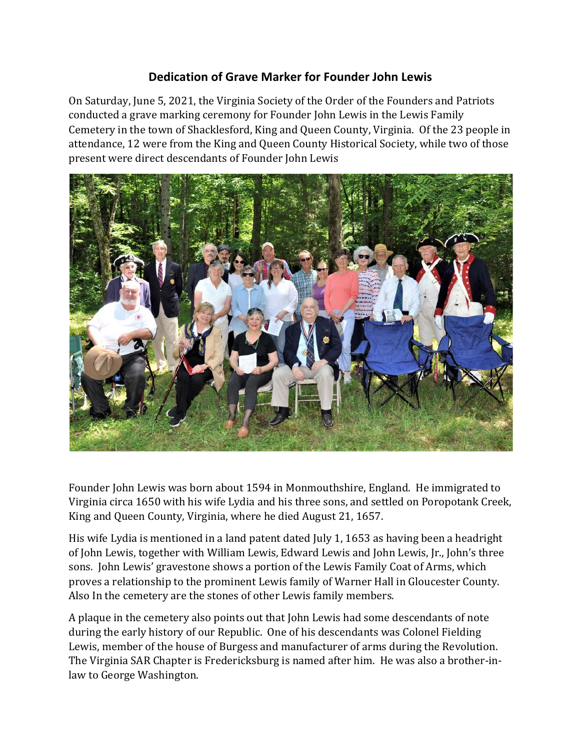## **Dedication of Grave Marker for Founder John Lewis**

On Saturday, June 5, 2021, the Virginia Society of the Order of the Founders and Patriots conducted a grave marking ceremony for Founder John Lewis in the Lewis Family Cemetery in the town of Shacklesford, King and Queen County, Virginia. Of the 23 people in attendance, 12 were from the King and Queen County Historical Society, while two of those present were direct descendants of Founder John Lewis



Founder John Lewis was born about 1594 in Monmouthshire, England. He immigrated to Virginia circa 1650 with his wife Lydia and his three sons, and settled on Poropotank Creek, King and Queen County, Virginia, where he died August 21, 1657.

His wife Lydia is mentioned in a land patent dated July 1, 1653 as having been a headright of John Lewis, together with William Lewis, Edward Lewis and John Lewis, Jr., John's three sons. John Lewis' gravestone shows a portion of the Lewis Family Coat of Arms, which proves a relationship to the prominent Lewis family of Warner Hall in Gloucester County. Also In the cemetery are the stones of other Lewis family members.

A plaque in the cemetery also points out that John Lewis had some descendants of note during the early history of our Republic. One of his descendants was Colonel Fielding Lewis, member of the house of Burgess and manufacturer of arms during the Revolution. The Virginia SAR Chapter is Fredericksburg is named after him. He was also a brother-inlaw to George Washington.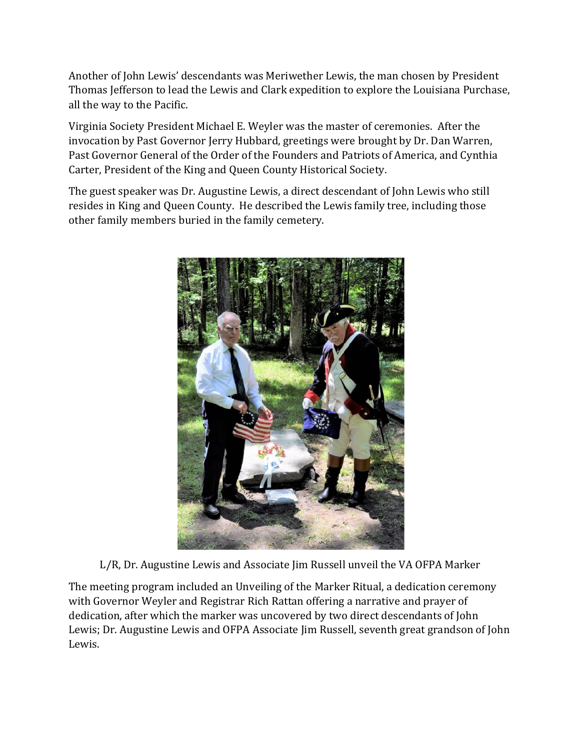Another of John Lewis' descendants was Meriwether Lewis, the man chosen by President Thomas Jefferson to lead the Lewis and Clark expedition to explore the Louisiana Purchase, all the way to the Pacific.

Virginia Society President Michael E. Weyler was the master of ceremonies. After the invocation by Past Governor Jerry Hubbard, greetings were brought by Dr. Dan Warren, Past Governor General of the Order of the Founders and Patriots of America, and Cynthia Carter, President of the King and Queen County Historical Society.

The guest speaker was Dr. Augustine Lewis, a direct descendant of John Lewis who still resides in King and Queen County. He described the Lewis family tree, including those other family members buried in the family cemetery.



L/R, Dr. Augustine Lewis and Associate Jim Russell unveil the VA OFPA Marker

The meeting program included an Unveiling of the Marker Ritual, a dedication ceremony with Governor Weyler and Registrar Rich Rattan offering a narrative and prayer of dedication, after which the marker was uncovered by two direct descendants of John Lewis; Dr. Augustine Lewis and OFPA Associate Jim Russell, seventh great grandson of John Lewis.